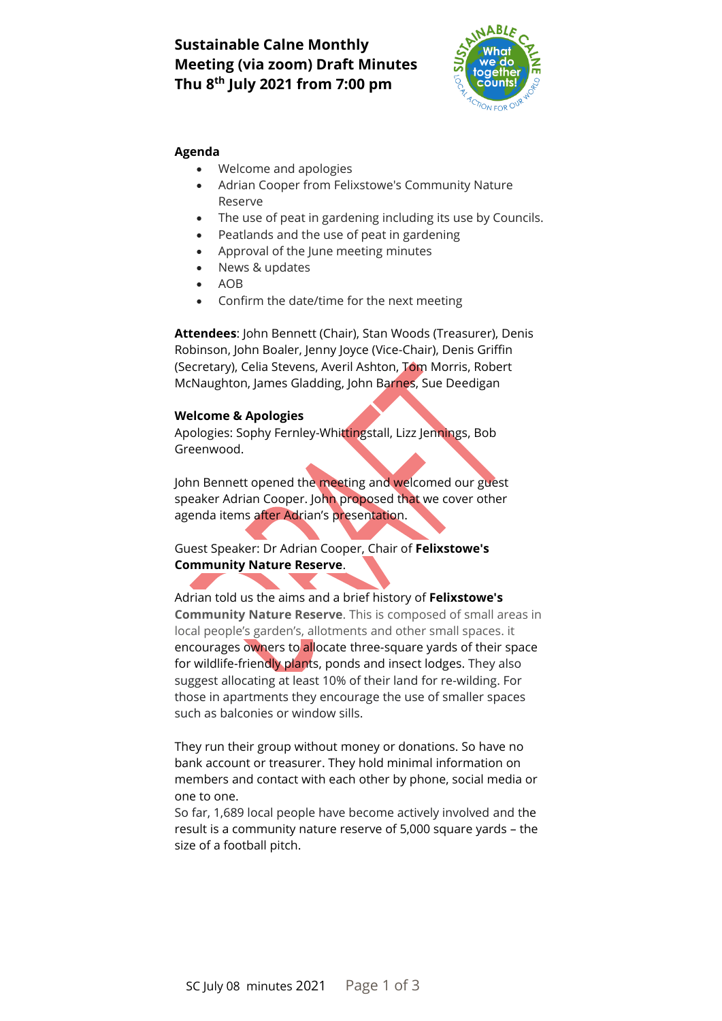# **Sustainable Calne Monthly Meeting (via zoom) Draft Minutes Thu 8 th July 2021 from 7:00 pm**



#### **Agenda**

- Welcome and apologies
- Adrian Cooper from Felixstowe's Community Nature Reserve
- The use of peat in gardening including its use by Councils.
- Peatlands and the use of peat in gardening
- Approval of the June meeting minutes
- News & updates
- AOB
- Confirm the date/time for the next meeting

**Attendees**: John Bennett (Chair), Stan Woods (Treasurer), Denis Robinson, John Boaler, Jenny Joyce (Vice-Chair), Denis Griffin (Secretary), Celia Stevens, Averil Ashton, Tom Morris, Robert McNaughton, James Gladding, John Barnes, Sue Deedigan

#### **Welcome & Apologies**

Apologies: Sophy Fernley-Whittingstall, Lizz Jennings, Bob Greenwood.

John Bennett opened the meeting and welcomed our guest speaker Adrian Cooper. John proposed that we cover other agenda items after Adrian's presentation.

## Guest Speaker: Dr Adrian Cooper, Chair of **Felixstowe's Community Nature Reserve**.

Adrian told us the aims and a brief history of **Felixstowe's Community Nature Reserve**. This is composed of small areas in local people's garden's, allotments and other small spaces. it encourages owners to allocate three-square yards of their space for wildlife-friendly plants, ponds and insect lodges. They also suggest allocating at least 10% of their land for re-wilding. For those in apartments they encourage the use of smaller spaces such as balconies or window sills.

They run their group without money or donations. So have no bank account or treasurer. They hold minimal information on members and contact with each other by phone, social media or one to one.

So far, 1,689 local people have become actively involved and the result is a community nature reserve of 5,000 square yards – the size of a football pitch.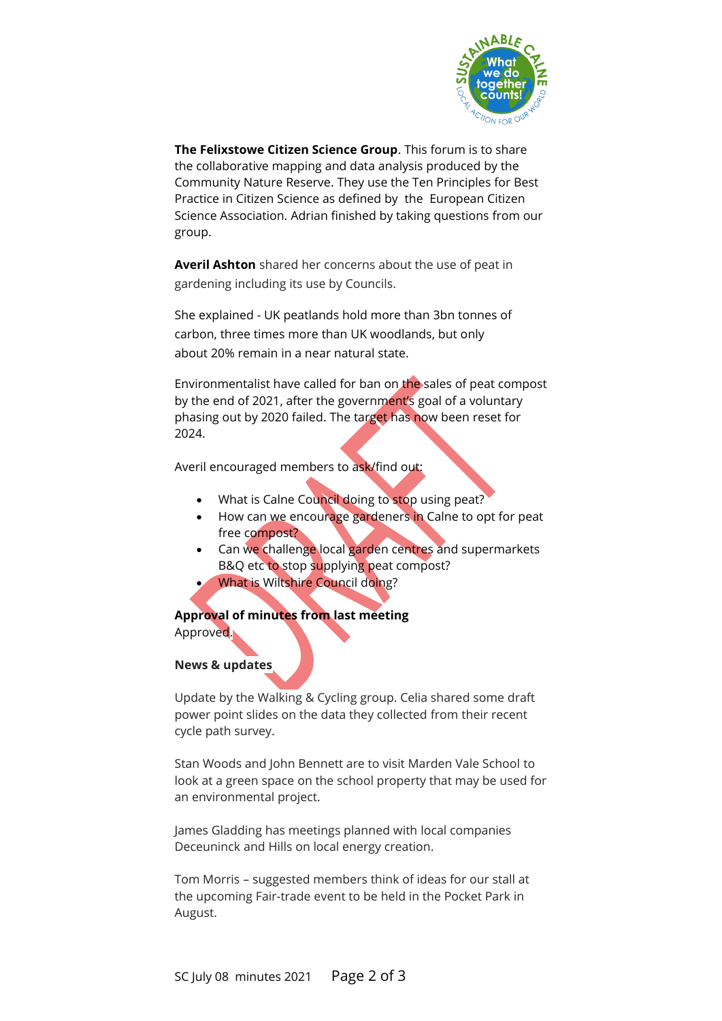

**The Felixstowe Citizen Science Group**. This forum is to share the collaborative mapping and data analysis produced by the Community Nature Reserve. They use the Ten Principles for Best Practice in Citizen Science as defined by the European Citizen Science Association. Adrian finished by taking questions from our group.

**Averil Ashton** shared her concerns about the use of peat in gardening including its use by Councils.

She explained - UK peatlands hold more than 3bn tonnes of carbon, three [times](https://www.ceh.ac.uk/sites/default/files/Peatland%20factsheet.pdf) more than UK woodlands, but only about 20% remain in a near [natural](https://www.iucn-uk-peatlandprogramme.org/about-peatlands/peatland-damagehttps:/www.iucn-uk-peatlandprogramme.org/about-peatlands/peatland-damage) state.

Environmentalist have called for ban on [the sales of peat compost](https://www.theguardian.com/environment/2021/apr/02/climate-concerned-gardeners-demand-uk-ban-on-peat-compost)  [by the end of 2021,](https://www.theguardian.com/environment/2021/apr/02/climate-concerned-gardeners-demand-uk-ban-on-peat-compost) after the government's goal of a voluntary phasing out by 2020 failed. The target has now been reset for 2024.

Averil encouraged members to ask/find out:

- What is Calne Council doing to stop using peat?
- How can we encourage gardeners in Calne to opt for peat free compost?
- Can we challenge local garden centres and supermarkets B&Q etc to stop supplying peat compost?
- What is Wiltshire Council doing?

**Approval of minutes from last meeting**  Approved.

## **News & updates**

Update by the Walking & Cycling group. Celia shared some draft power point slides on the data they collected from their recent cycle path survey.

Stan Woods and John Bennett are to visit Marden Vale School to look at a green space on the school property that may be used for an environmental project.

James Gladding has meetings planned with local companies Deceuninck and Hills on local energy creation.

Tom Morris – suggested members think of ideas for our stall at the upcoming Fair-trade event to be held in the Pocket Park in August.